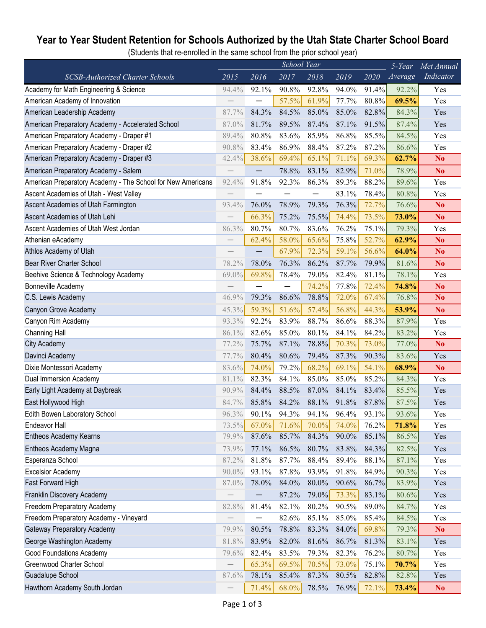## **Year to Year Student Retention for Schools Authorized by the Utah State Charter School Board**

(Students that re-enrolled in the same school from the prior school year)

|                                                             | School Year              |       |       |       |       |       | $5$ -Year | Met Annual     |
|-------------------------------------------------------------|--------------------------|-------|-------|-------|-------|-------|-----------|----------------|
| SCSB-Authorized Charter Schools                             | 2015                     | 2016  | 2017  | 2018  | 2019  | 2020  | Average   | Indicator      |
| Academy for Math Engineering & Science                      | 94.4%                    | 92.1% | 90.8% | 92.8% | 94.0% | 91.4% | 92.2%     | Yes            |
| American Academy of Innovation                              |                          |       | 57.5% | 61.9% | 77.7% | 80.8% | 69.5%     | Yes            |
| American Leadership Academy                                 | 87.7%                    | 84.3% | 84.5% | 85.0% | 85.0% | 82.8% | 84.3%     | Yes            |
| American Preparatory Academy - Accelerated School           | 87.0%                    | 81.7% | 89.5% | 87.4% | 87.1% | 91.5% | 87.4%     | Yes            |
| American Preparatory Academy - Draper #1                    | 89.4%                    | 80.8% | 83.6% | 85.9% | 86.8% | 85.5% | 84.5%     | Yes            |
| American Preparatory Academy - Draper #2                    | 90.8%                    | 83.4% | 86.9% | 88.4% | 87.2% | 87.2% | 86.6%     | Yes            |
| American Preparatory Academy - Draper #3                    | 42.4%                    | 38.6% | 69.4% | 65.1% | 71.1% | 69.3% | 62.7%     | N <sub>o</sub> |
| American Preparatory Academy - Salem                        |                          |       | 78.8% | 83.1% | 82.9% | 71.0% | 78.9%     | No             |
| American Preparatory Academy - The School for New Americans | 92.4%                    | 91.8% | 92.3% | 86.3% | 89.3% | 88.2% | 89.6%     | Yes            |
| Ascent Academies of Utah - West Valley                      |                          |       |       |       | 83.1% | 78.4% | 80.8%     | Yes            |
| Ascent Academies of Utah Farmington                         | 93.4%                    | 76.0% | 78.9% | 79.3% | 76.3% | 72.7% | 76.6%     | N <sub>o</sub> |
| Ascent Academies of Utah Lehi                               | $\overline{\phantom{0}}$ | 66.3% | 75.2% | 75.5% | 74.4% | 73.5% | 73.0%     | N <sub>o</sub> |
| Ascent Academies of Utah West Jordan                        | 86.3%                    | 80.7% | 80.7% | 83.6% | 76.2% | 75.1% | 79.3%     | Yes            |
| Athenian eAcademy                                           | $\overline{\phantom{0}}$ | 62.4% | 58.0% | 65.6% | 75.8% | 52.7% | 62.9%     | N <sub>o</sub> |
| Athlos Academy of Utah                                      |                          |       | 67.9% | 72.3% | 59.1% | 56.6% | 64.0%     | N <sub>o</sub> |
| Bear River Charter School                                   | 78.2%                    | 78.0% | 76.3% | 86.2% | 87.7% | 79.9% | 81.6%     | N <sub>o</sub> |
| Beehive Science & Technology Academy                        | 69.0%                    | 69.8% | 78.4% | 79.0% | 82.4% | 81.1% | 78.1%     | Yes            |
| Bonneville Academy                                          |                          |       |       | 74.2% | 77.8% | 72.4% | 74.8%     | N <sub>0</sub> |
| C.S. Lewis Academy                                          | 46.9%                    | 79.3% | 86.6% | 78.8% | 72.0% | 67.4% | 76.8%     | N <sub>o</sub> |
| Canyon Grove Academy                                        | 45.3%                    | 59.3% | 51.6% | 57.4% | 56.8% | 44.3% | 53.9%     | N <sub>o</sub> |
| Canyon Rim Academy                                          | 93.3%                    | 92.2% | 83.9% | 88.7% | 86.6% | 88.3% | 87.9%     | Yes            |
| <b>Channing Hall</b>                                        | 86.1%                    | 82.6% | 85.0% | 80.1% | 84.1% | 84.2% | 83.2%     | Yes            |
| <b>City Academy</b>                                         | 77.2%                    | 75.7% | 87.1% | 78.8% | 70.3% | 73.0% | 77.0%     | N <sub>o</sub> |
| Davinci Academy                                             | 77.7%                    | 80.4% | 80.6% | 79.4% | 87.3% | 90.3% | 83.6%     | Yes            |
| Dixie Montessori Academy                                    | 83.6%                    | 74.0% | 79.2% | 68.2% | 69.1% | 54.1% | 68.9%     | N <sub>o</sub> |
| Dual Immersion Academy                                      | 81.1%                    | 82.3% | 84.1% | 85.0% | 85.0% | 85.2% | 84.3%     | Yes            |
| Early Light Academy at Daybreak                             | 90.9%                    | 84.4% | 88.5% | 87.0% | 84.1% | 83.4% | 85.5%     | Yes            |
| East Hollywood High                                         | 84.7%                    | 85.8% | 84.2% | 88.1% | 91.8% | 87.8% | 87.5%     | Yes            |
| Edith Bowen Laboratory School                               | 96.3%                    | 90.1% | 94.3% | 94.1% | 96.4% | 93.1% | 93.6%     | Yes            |
| <b>Endeavor Hall</b>                                        | 73.5%                    | 67.0% | 71.6% | 70.0% | 74.0% | 76.2% | 71.8%     | Yes            |
| Entheos Academy Kearns                                      | 79.9%                    | 87.6% | 85.7% | 84.3% | 90.0% | 85.1% | 86.5%     | Yes            |
| Entheos Academy Magna                                       | 73.9%                    | 77.1% | 86.5% | 80.7% | 83.8% | 84.3% | 82.5%     | Yes            |
| Esperanza School                                            | 87.2%                    | 81.8% | 87.7% | 88.4% | 89.4% | 88.1% | 87.1%     | Yes            |
| <b>Excelsior Academy</b>                                    | 90.0%                    | 93.1% | 87.8% | 93.9% | 91.8% | 84.9% | 90.3%     | Yes            |
| Fast Forward High                                           | 87.0%                    | 78.0% | 84.0% | 80.0% | 90.6% | 86.7% | 83.9%     | Yes            |
| Franklin Discovery Academy                                  |                          |       | 87.2% | 79.0% | 73.3% | 83.1% | 80.6%     | Yes            |
| Freedom Preparatory Academy                                 | 82.8%                    | 81.4% | 82.1% | 80.2% | 90.5% | 89.0% | 84.7%     | Yes            |
| Freedom Preparatory Academy - Vineyard                      |                          |       | 82.6% | 85.1% | 85.0% | 85.4% | 84.5%     | Yes            |
| <b>Gateway Preparatory Academy</b>                          | 79.9%                    | 80.5% | 78.8% | 83.3% | 84.0% | 69.8% | 79.3%     | N <sub>o</sub> |
| George Washington Academy                                   | 81.8%                    | 83.9% | 82.0% | 81.6% | 86.7% | 81.3% | 83.1%     | Yes            |
| <b>Good Foundations Academy</b>                             | 79.6%                    | 82.4% | 83.5% | 79.3% | 82.3% | 76.2% | 80.7%     | Yes            |
| Greenwood Charter School                                    | $\overline{\phantom{0}}$ | 65.3% | 69.5% | 70.5% | 73.0% | 75.1% | 70.7%     | Yes            |
| Guadalupe School                                            | 87.6%                    | 78.1% | 85.4% | 87.3% | 80.5% | 82.8% | 82.8%     | Yes            |
| Hawthorn Academy South Jordan                               |                          | 71.4% | 68.0% | 78.5% | 76.9% | 72.1% | 73.4%     | N <sub>0</sub> |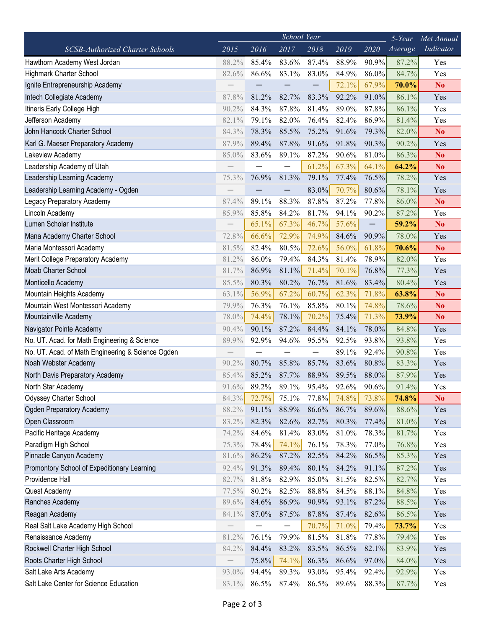|                                                   | School Year<br>$5$ -Year |       |       |       |       |       |         | Met Annual     |
|---------------------------------------------------|--------------------------|-------|-------|-------|-------|-------|---------|----------------|
| <b>SCSB-Authorized Charter Schools</b>            | 2015                     | 2016  | 2017  | 2018  | 2019  | 2020  | Average | Indicator      |
| Hawthorn Academy West Jordan                      | 88.2%                    | 85.4% | 83.6% | 87.4% | 88.9% | 90.9% | 87.2%   | Yes            |
| <b>Highmark Charter School</b>                    | 82.6%                    | 86.6% | 83.1% | 83.0% | 84.9% | 86.0% | 84.7%   | Yes            |
| Ignite Entrepreneurship Academy                   |                          |       |       |       | 72.1% | 67.9% | 70.0%   | N <sub>o</sub> |
| Intech Collegiate Academy                         | 87.8%                    | 81.2% | 82.7% | 83.3% | 92.2% | 91.0% | 86.1%   | Yes            |
| Itineris Early College High                       | 90.2%                    | 84.3% | 87.8% | 81.4% | 89.0% | 87.8% | 86.1%   | Yes            |
| Jefferson Academy                                 | 82.1%                    | 79.1% | 82.0% | 76.4% | 82.4% | 86.9% | 81.4%   | Yes            |
| John Hancock Charter School                       | 84.3%                    | 78.3% | 85.5% | 75.2% | 91.6% | 79.3% | 82.0%   | N <sub>o</sub> |
| Karl G. Maeser Preparatory Academy                | 87.9%                    | 89.4% | 87.8% | 91.6% | 91.8% | 90.3% | 90.2%   | Yes            |
| Lakeview Academy                                  | 85.0%                    | 83.6% | 89.1% | 87.2% | 90.6% | 81.0% | 86.3%   | N <sub>o</sub> |
| Leadership Academy of Utah                        |                          |       |       | 61.2% | 67.3% | 64.1% | 64.2%   | N <sub>o</sub> |
| Leadership Learning Academy                       | 75.3%                    | 76.9% | 81.3% | 79.1% | 77.4% | 76.5% | 78.2%   | Yes            |
| Leadership Learning Academy - Ogden               |                          |       |       | 83.0% | 70.7% | 80.6% | 78.1%   | Yes            |
| Legacy Preparatory Academy                        | 87.4%                    | 89.1% | 88.3% | 87.8% | 87.2% | 77.8% | 86.0%   | N <sub>o</sub> |
| Lincoln Academy                                   | 85.9%                    | 85.8% | 84.2% | 81.7% | 94.1% | 90.2% | 87.2%   | Yes            |
| Lumen Scholar Institute                           |                          | 65.1% | 67.3% | 46.7% | 57.6% |       | 59.2%   | N <sub>o</sub> |
| Mana Academy Charter School                       | 72.8%                    | 66.6% | 72.9% | 74.9% | 84.6% | 90.9% | 78.0%   | Yes            |
| Maria Montessori Academy                          | 81.5%                    | 82.4% | 80.5% | 72.6% | 56.0% | 61.8% | 70.6%   | N <sub>o</sub> |
| Merit College Preparatory Academy                 | 81.2%                    | 86.0% | 79.4% | 84.3% | 81.4% | 78.9% | 82.0%   | Yes            |
| <b>Moab Charter School</b>                        | 81.7%                    | 86.9% | 81.1% | 71.4% | 70.1% | 76.8% | 77.3%   | Yes            |
| Monticello Academy                                | 85.5%                    | 80.3% | 80.2% | 76.7% | 81.6% | 83.4% | 80.4%   | Yes            |
| Mountain Heights Academy                          | 63.1%                    | 56.9% | 67.2% | 60.7% | 62.3% | 71.8% | 63.8%   | N <sub>o</sub> |
| Mountain West Montessori Academy                  | 79.9%                    | 76.3% | 76.1% | 85.8% | 80.1% | 74.8% | 78.6%   | N <sub>o</sub> |
| Mountainville Academy                             | 78.0%                    | 74.4% | 78.1% | 70.2% | 75.4% | 71.3% | 73.9%   | N <sub>o</sub> |
| Navigator Pointe Academy                          | 90.4%                    | 90.1% | 87.2% | 84.4% | 84.1% | 78.0% | 84.8%   | Yes            |
| No. UT. Acad. for Math Engineering & Science      | 89.9%                    | 92.9% | 94.6% | 95.5% | 92.5% | 93.8% | 93.8%   | Yes            |
| No. UT. Acad. of Math Engineering & Science Ogden |                          |       |       |       | 89.1% | 92.4% | 90.8%   | Yes            |
| Noah Webster Academy                              | 90.2%                    | 80.7% | 85.8% | 85.7% | 83.6% | 80.8% | 83.3%   | Yes            |
| North Davis Preparatory Academy                   | 85.4%                    | 85.2% | 87.7% | 88.9% | 89.5% | 88.0% | 87.9%   | Yes            |
| North Star Academy                                | 91.6%                    | 89.2% | 89.1% | 95.4% | 92.6% | 90.6% | 91.4%   | Yes            |
| <b>Odyssey Charter School</b>                     | 84.3%                    | 72.7% | 75.1% | 77.8% | 74.8% | 73.8% | 74.8%   | N <sub>0</sub> |
| Ogden Preparatory Academy                         | 88.2%                    | 91.1% | 88.9% | 86.6% | 86.7% | 89.6% | 88.6%   | Yes            |
| Open Classroom                                    | 83.2%                    | 82.3% | 82.6% | 82.7% | 80.3% | 77.4% | 81.0%   | Yes            |
| Pacific Heritage Academy                          | 74.2%                    | 84.6% | 81.4% | 83.0% | 81.0% | 78.3% | 81.7%   | Yes            |
| Paradigm High School                              | 75.3%                    | 78.4% | 74.1% | 76.1% | 78.3% | 77.0% | 76.8%   | Yes            |
| Pinnacle Canyon Academy                           | 81.6%                    | 86.2% | 87.2% | 82.5% | 84.2% | 86.5% | 85.3%   | Yes            |
| Promontory School of Expeditionary Learning       | 92.4%                    | 91.3% | 89.4% | 80.1% | 84.2% | 91.1% | 87.2%   | Yes            |
| Providence Hall                                   | 82.7%                    | 81.8% | 82.9% | 85.0% | 81.5% | 82.5% | 82.7%   | Yes            |
| Quest Academy                                     | 77.5%                    | 80.2% | 82.5% | 88.8% | 84.5% | 88.1% | 84.8%   | Yes            |
| Ranches Academy                                   | 89.6%                    | 84.6% | 86.9% | 90.9% | 93.1% | 87.2% | 88.5%   | Yes            |
| Reagan Academy                                    | 84.1%                    | 87.0% | 87.5% | 87.8% | 87.4% | 82.6% | 86.5%   | Yes            |
| Real Salt Lake Academy High School                |                          |       |       | 70.7% | 71.0% | 79.4% | 73.7%   | Yes            |
| Renaissance Academy                               | 81.2%                    | 76.1% | 79.9% | 81.5% | 81.8% | 77.8% | 79.4%   | Yes            |
| Rockwell Charter High School                      | 84.2%                    | 84.4% | 83.2% | 83.5% | 86.5% | 82.1% | 83.9%   | Yes            |
| Roots Charter High School                         |                          | 75.8% | 74.1% | 86.3% | 86.6% | 97.0% | 84.0%   | Yes            |
| Salt Lake Arts Academy                            | 93.0%                    | 94.4% | 89.3% | 93.0% | 95.4% | 92.4% | 92.9%   | Yes            |
| Salt Lake Center for Science Education            | 83.1%                    | 86.5% | 87.4% | 86.5% | 89.6% | 88.3% | 87.7%   | Yes            |